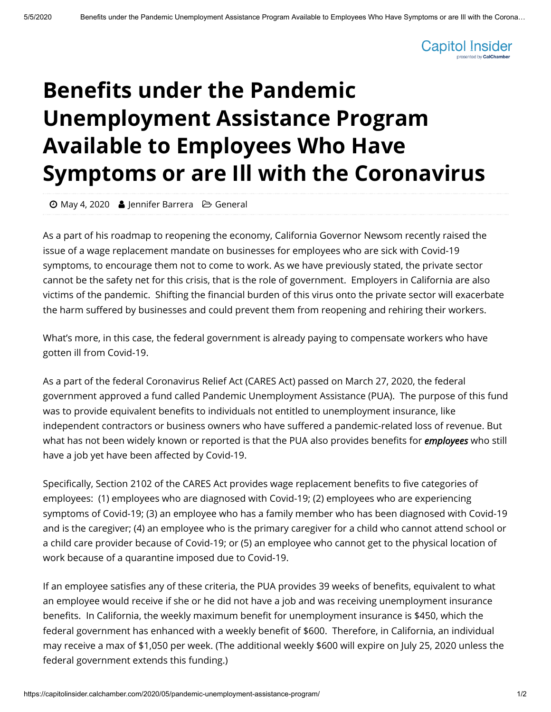

## **Benefits under the Pandemic Unemployment Assistance Program Available to Employees Who Have Symptoms or are Ill with the Coronavirus**

 $\Theta$  [May 4, 2020](https://capitolinsider.calchamber.com/2020/05/) **S** [Jennifer Barrera](https://capitolinsider.calchamber.com/author/ci-jenniferbarrera/)  $\Theta$  [General](https://capitolinsider.calchamber.com/category/general/)

As a part of his roadmap to reopening the economy, California Governor Newsom recently raised the issue of a wage replacement mandate on businesses for employees who are sick with Covid-19 symptoms, to encourage them not to come to work. As we have previously stated, the private sector cannot be the safety net for this crisis, that is the role of government. Employers in California are also victims of the pandemic. Shifting the financial burden of this virus onto the private sector will exacerbate the harm suffered by businesses and could prevent them from reopening and rehiring their workers.

What's more, in this case, the federal government is already paying to compensate workers who have gotten ill from Covid-19.

As a part of the federal Coronavirus Relief Act (CARES Act) passed on March 27, 2020, the federal government approved a fund called Pandemic Unemployment Assistance (PUA). The purpose of this fund was to provide equivalent benefits to individuals not entitled to unemployment insurance, like independent contractors or business owners who have suffered a pandemic-related loss of revenue. But what has not been widely known or reported is that the PUA also provides benefits for *employees* who still have a job yet have been affected by Covid-19.

Specifically, Section 2102 of the CARES Act provides wage replacement benefits to five categories of employees: (1) employees who are diagnosed with Covid-19; (2) employees who are experiencing symptoms of Covid-19; (3) an employee who has a family member who has been diagnosed with Covid-19 and is the caregiver; (4) an employee who is the primary caregiver for a child who cannot attend school or a child care provider because of Covid-19; or (5) an employee who cannot get to the physical location of work because of a quarantine imposed due to Covid-19.

If an employee satisfies any of these criteria, the PUA provides 39 weeks of benefits, equivalent to what an employee would receive if she or he did not have a job and was receiving unemployment insurance benefits. In California, the weekly maximum benefit for unemployment insurance is \$450, which the federal government has enhanced with a weekly benefit of \$600. Therefore, in California, an individual may receive a max of \$1,050 per week. (The additional weekly \$600 will expire on July 25, 2020 unless the federal government extends this funding.)